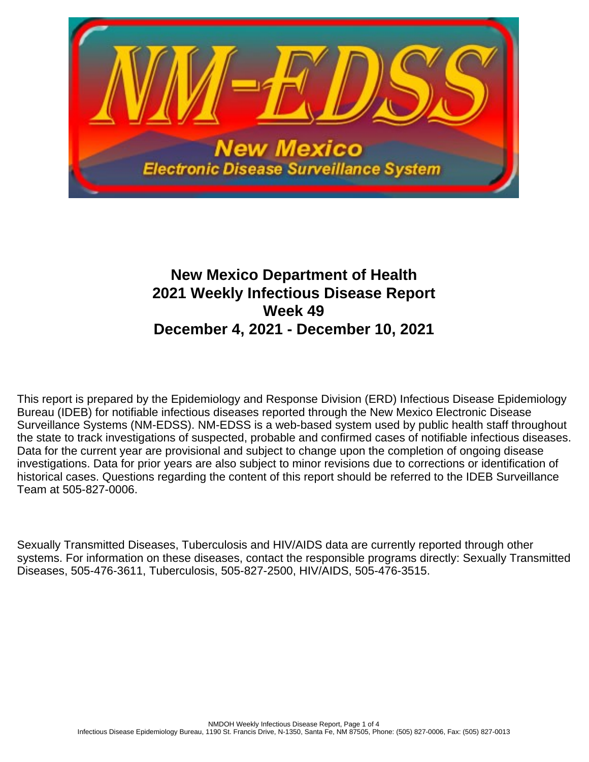

# **New Mexico Department of Health 2021 Weekly Infectious Disease Report Week 49 December 4, 2021 - December 10, 2021**

This report is prepared by the Epidemiology and Response Division (ERD) Infectious Disease Epidemiology Bureau (IDEB) for notifiable infectious diseases reported through the New Mexico Electronic Disease Surveillance Systems (NM-EDSS). NM-EDSS is a web-based system used by public health staff throughout the state to track investigations of suspected, probable and confirmed cases of notifiable infectious diseases. Data for the current year are provisional and subject to change upon the completion of ongoing disease investigations. Data for prior years are also subject to minor revisions due to corrections or identification of historical cases. Questions regarding the content of this report should be referred to the IDEB Surveillance Team at 505-827-0006.

Sexually Transmitted Diseases, Tuberculosis and HIV/AIDS data are currently reported through other systems. For information on these diseases, contact the responsible programs directly: Sexually Transmitted Diseases, 505-476-3611, Tuberculosis, 505-827-2500, HIV/AIDS, 505-476-3515.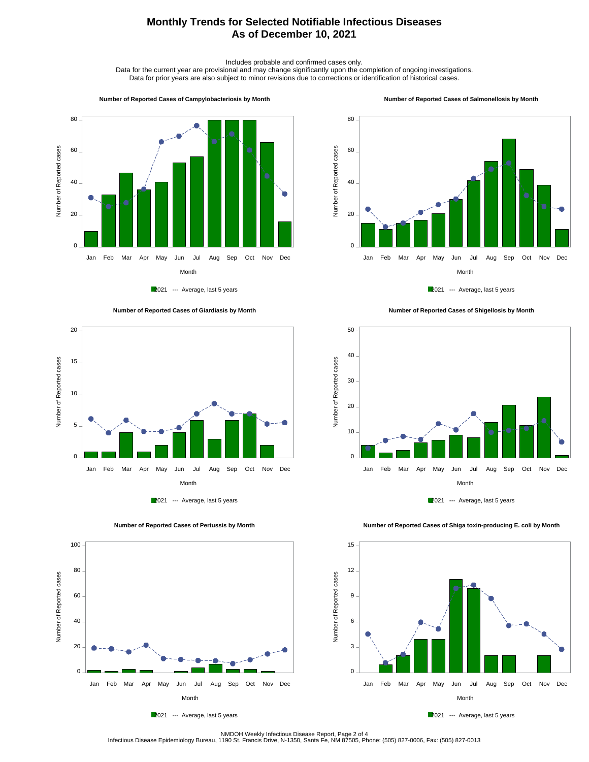## **Monthly Trends for Selected Notifiable Infectious Diseases As of December 10, 2021**

Includes probable and confirmed cases only.

Data for the current year are provisional and may change significantly upon the completion of ongoing investigations. Data for prior years are also subject to minor revisions due to corrections or identification of historical cases.

#### **Number of Reported Cases of Campylobacteriosis by Month**



2021 --- Average, last 5 years





 **Number of Reported Cases of Pertussis by Month**

Number of Reported cases

Number of Reported cases

 $0 -$ 

20

40

60

80

100









 **Number of Reported Cases of Shiga toxin-producing E. coli by Month**

2021 --- Average, last 5 years

Month Jan Feb Mar Apr May Jun Jul Aug Sep Oct Nov Dec

NMDOH Weekly Infectious Disease Report, Page 2 of 4<br>Infectious Disease Epidemiology Bureau, 1190 St. Francis Drive, N-1350, Santa Fe, NM 87505, Phone: (505) 827-0006, Fax: (505) 827-0013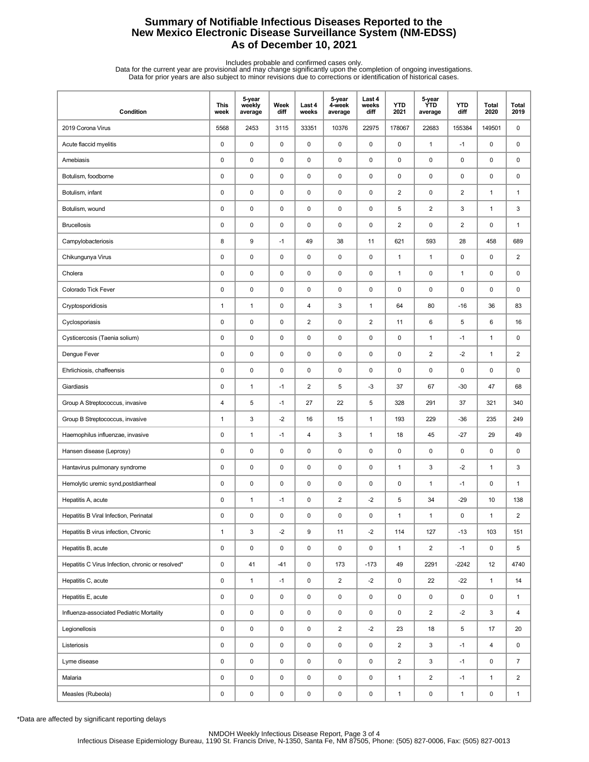## **Summary of Notifiable Infectious Diseases Reported to the New Mexico Electronic Disease Surveillance System (NM-EDSS) As of December 10, 2021**

Includes probable and confirmed cases only.<br>Data for the current year are provisional and may change significantly upon the completion of ongoing investigations.<br>Data for prior years are also subject to minor revisions due

| Condition                                         | <b>This</b><br>week | 5-year<br>weekly<br>average | Week<br>diff | Last 4<br>weeks | 5-year<br>4-week<br>average | Last 4<br>weeks<br>diff | <b>YTD</b><br>2021 | 5-year<br>ÝTD<br>average | <b>YTD</b><br>diff | Total<br>2020 | Total<br>2019  |
|---------------------------------------------------|---------------------|-----------------------------|--------------|-----------------|-----------------------------|-------------------------|--------------------|--------------------------|--------------------|---------------|----------------|
| 2019 Corona Virus                                 | 5568                | 2453                        | 3115         | 33351           | 10376                       | 22975                   | 178067             | 22683                    | 155384             | 149501        | 0              |
| Acute flaccid myelitis                            | 0                   | $\pmb{0}$                   | $\mathsf 0$  | $\pmb{0}$       | $\mathsf 0$                 | $\mathsf 0$             | $\pmb{0}$          | $\mathbf{1}$             | $-1$               | 0             | 0              |
| Amebiasis                                         | 0                   | $\pmb{0}$                   | 0            | $\mathbf 0$     | 0                           | 0                       | 0                  | $\pmb{0}$                | 0                  | 0             | 0              |
| Botulism, foodborne                               | 0                   | $\mathbf 0$                 | 0            | $\mathbf 0$     | $\pmb{0}$                   | 0                       | 0                  | 0                        | 0                  | 0             | 0              |
| Botulism, infant                                  | 0                   | $\pmb{0}$                   | 0            | $\mathbf 0$     | $\pmb{0}$                   | $\mathsf 0$             | $\overline{2}$     | $\pmb{0}$                | $\overline{2}$     | $\mathbf{1}$  | $\mathbf{1}$   |
| Botulism, wound                                   | 0                   | $\pmb{0}$                   | 0            | $\mathbf 0$     | $\pmb{0}$                   | $\mathsf 0$             | 5                  | $\overline{2}$           | 3                  | $\mathbf{1}$  | 3              |
| <b>Brucellosis</b>                                | 0                   | $\pmb{0}$                   | $\mathsf 0$  | $\mathbf 0$     | $\pmb{0}$                   | $\mathsf 0$             | $\overline{2}$     | 0                        | 2                  | 0             | $\mathbf{1}$   |
| Campylobacteriosis                                | 8                   | 9                           | $-1$         | 49              | 38                          | 11                      | 621                | 593                      | 28                 | 458           | 689            |
| Chikungunya Virus                                 | 0                   | $\pmb{0}$                   | 0            | $\mathbf 0$     | $\pmb{0}$                   | 0                       | $\mathbf{1}$       | $\mathbf{1}$             | 0                  | 0             | 2              |
| Cholera                                           | 0                   | $\pmb{0}$                   | 0            | $\mathbf 0$     | $\pmb{0}$                   | $\mathsf 0$             | $\mathbf{1}$       | $\pmb{0}$                | $\mathbf{1}$       | 0             | 0              |
| Colorado Tick Fever                               | $\pmb{0}$           | $\pmb{0}$                   | 0            | $\mathbf 0$     | $\pmb{0}$                   | $\mathsf 0$             | 0                  | $\pmb{0}$                | 0                  | 0             | 0              |
| Cryptosporidiosis                                 | $\mathbf{1}$        | $\mathbf{1}$                | $\mathsf 0$  | 4               | 3                           | $\mathbf{1}$            | 64                 | 80                       | $-16$              | 36            | 83             |
| Cyclosporiasis                                    | 0                   | $\pmb{0}$                   | 0            | $\overline{c}$  | 0                           | $\overline{2}$          | 11                 | 6                        | 5                  | 6             | 16             |
| Cysticercosis (Taenia solium)                     | 0                   | $\mathbf 0$                 | 0            | $\mathbf 0$     | $\pmb{0}$                   | 0                       | 0                  | $\mathbf{1}$             | $-1$               | $\mathbf{1}$  | 0              |
| Dengue Fever                                      | 0                   | $\pmb{0}$                   | 0            | $\mathbf 0$     | $\pmb{0}$                   | 0                       | 0                  | $\overline{\mathbf{c}}$  | $-2$               | $\mathbf{1}$  | $\overline{c}$ |
| Ehrlichiosis, chaffeensis                         | 0                   | $\pmb{0}$                   | 0            | $\mathbf 0$     | $\pmb{0}$                   | 0                       | 0                  | $\pmb{0}$                | 0                  | 0             | 0              |
| Giardiasis                                        | $\pmb{0}$           | $\mathbf{1}$                | $-1$         | $\sqrt{2}$      | 5                           | $-3$                    | 37                 | 67                       | $-30$              | 47            | 68             |
| Group A Streptococcus, invasive                   | 4                   | 5                           | $-1$         | 27              | 22                          | 5                       | 328                | 291                      | 37                 | 321           | 340            |
| Group B Streptococcus, invasive                   | 1                   | 3                           | $-2$         | 16              | 15                          | $\mathbf{1}$            | 193                | 229                      | $-36$              | 235           | 249            |
| Haemophilus influenzae, invasive                  | 0                   | $\mathbf{1}$                | $-1$         | 4               | 3                           | $\mathbf{1}$            | 18                 | 45                       | $-27$              | 29            | 49             |
| Hansen disease (Leprosy)                          | 0                   | $\mathbf 0$                 | 0            | $\mathbf 0$     | 0                           | $\mathsf 0$             | 0                  | $\pmb{0}$                | 0                  | 0             | 0              |
| Hantavirus pulmonary syndrome                     | $\pmb{0}$           | $\pmb{0}$                   | $\mathsf 0$  | $\pmb{0}$       | $\pmb{0}$                   | $\mathsf 0$             | $\mathbf{1}$       | 3                        | $-2$               | $\mathbf{1}$  | 3              |
| Hemolytic uremic synd, postdiarrheal              | 0                   | $\mathbf 0$                 | 0            | $\mathbf 0$     | 0                           | 0                       | 0                  | $\mathbf{1}$             | $-1$               | 0             | $\mathbf{1}$   |
| Hepatitis A, acute                                | 0                   | $\mathbf{1}$                | $-1$         | $\mathbf 0$     | 2                           | $-2$                    | 5                  | 34                       | $-29$              | 10            | 138            |
| Hepatitis B Viral Infection, Perinatal            | 0                   | $\mathbf 0$                 | $\pmb{0}$    | $\mathbf 0$     | 0                           | 0                       | $\mathbf{1}$       | 1                        | 0                  | $\mathbf{1}$  | $\overline{2}$ |
| Hepatitis B virus infection, Chronic              | $\mathbf{1}$        | 3                           | $-2$         | 9               | 11                          | $-2$                    | 114                | 127                      | $-13$              | 103           | 151            |
| Hepatitis B, acute                                | 0                   | $\pmb{0}$                   | $\pmb{0}$    | $\pmb{0}$       | 0                           | $\mathsf 0$             | $\mathbf{1}$       | $\overline{\mathbf{c}}$  | $-1$               | 0             | 5              |
| Hepatitis C Virus Infection, chronic or resolved* | 0                   | 41                          | $-41$        | $\mathsf 0$     | 173                         | $-173$                  | 49                 | 2291                     | $-2242$            | 12            | 4740           |
| Hepatitis C, acute                                | 0                   | $\mathbf{1}$                | $-1$         | 0               | $\overline{2}$              | $-2$                    | 0                  | 22                       | $-22$              | $\mathbf{1}$  | 14             |
| Hepatitis E, acute                                | 0                   | $\pmb{0}$                   | 0            | 0               | 0                           | 0                       | 0                  | 0                        | 0                  | 0             | $\mathbf{1}$   |
| Influenza-associated Pediatric Mortality          | 0                   | $\pmb{0}$                   | $\mathsf 0$  | $\pmb{0}$       | 0                           | $\mathsf 0$             | 0                  | $\overline{a}$           | $-2$               | 3             | 4              |
| Legionellosis                                     | 0                   | $\pmb{0}$                   | $\pmb{0}$    | $\mathsf 0$     | $\overline{2}$              | $-2$                    | 23                 | 18                       | 5                  | 17            | 20             |
| Listeriosis                                       | 0                   | $\pmb{0}$                   | $\pmb{0}$    | $\mathsf 0$     | 0                           | 0                       | $\overline{2}$     | 3                        | $-1$               | 4             | 0              |
| Lyme disease                                      | 0                   | $\pmb{0}$                   | 0            | $\pmb{0}$       | $\mathsf 0$                 | 0                       | $\overline{2}$     | 3                        | $-1$               | 0             | $\overline{7}$ |
| Malaria                                           | 0                   | $\pmb{0}$                   | 0            | 0               | 0                           | 0                       | $\mathbf{1}$       | $\overline{2}$           | $-1$               | $\mathbf{1}$  | $\overline{2}$ |
| Measles (Rubeola)                                 | 0                   | $\pmb{0}$                   | 0            | $\pmb{0}$       | $\pmb{0}$                   | $\pmb{0}$               | $\mathbf{1}$       | 0                        | $\mathbf{1}$       | 0             | $\mathbf{1}$   |

\*Data are affected by significant reporting delays